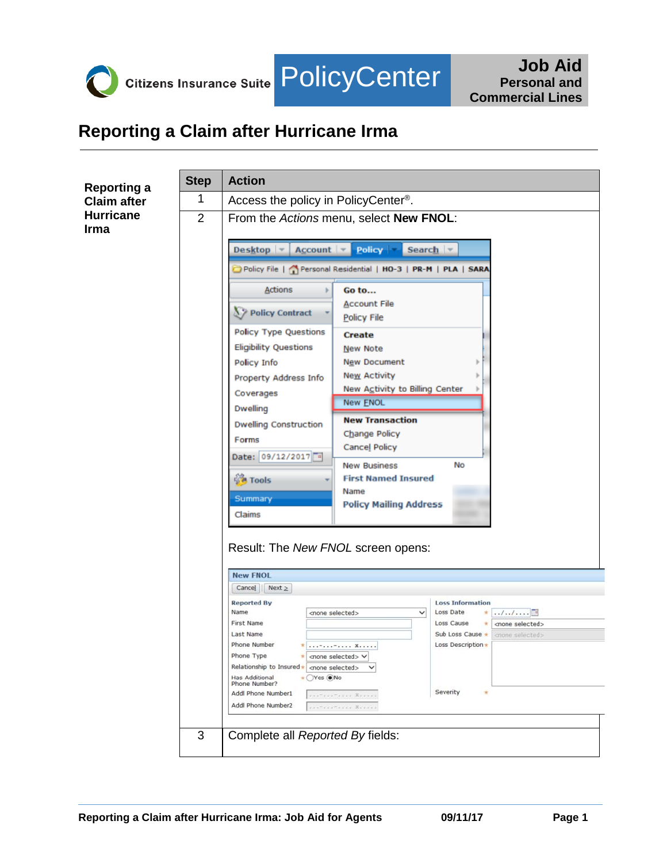

## **Reporting a Claim after Hurricane Irma**

| <b>Reporting a</b>       | <b>Step</b>    | <b>Action</b>                                                                                                                                                                  |
|--------------------------|----------------|--------------------------------------------------------------------------------------------------------------------------------------------------------------------------------|
| <b>Claim after</b>       | 1              | Access the policy in PolicyCenter <sup>®</sup> .                                                                                                                               |
| <b>Hurricane</b><br>Irma | $\overline{2}$ | From the Actions menu, select New FNOL:                                                                                                                                        |
|                          |                | Policy $\vert \cdot \vert$<br>Desktop $\blacktriangledown$<br>$Account \,   \, \cdot \,  $<br>Search $\blacktriangledown$                                                      |
|                          |                | Policy File   Personal Residential   HO-3   PR-M   PLA   SARA                                                                                                                  |
|                          |                | Actions<br>Go to<br><b>Account File</b>                                                                                                                                        |
|                          |                | $\S$ Policy Contract<br>Policy File                                                                                                                                            |
|                          |                | <b>Policy Type Questions</b><br>Create<br><b>Eligibility Questions</b><br>New Note                                                                                             |
|                          |                | New Document<br>Policy Info                                                                                                                                                    |
|                          |                | <b>New Activity</b><br>Property Address Info                                                                                                                                   |
|                          |                | New Activity to Billing Center<br>Coverages<br>New ENOL                                                                                                                        |
|                          |                | <b>Dwelling</b><br><b>New Transaction</b><br><b>Dwelling Construction</b>                                                                                                      |
|                          |                | Change Policy<br>Forms<br>Cancel Policy                                                                                                                                        |
|                          |                | Date: 09/12/2017<br>No<br><b>New Business</b>                                                                                                                                  |
|                          |                | <u>ुँह</u> ै Tools<br><b>First Named Insured</b>                                                                                                                               |
|                          |                | Name<br>Summary<br><b>Policy Mailing Address</b>                                                                                                                               |
|                          |                | Claims                                                                                                                                                                         |
|                          |                | Result: The New FNOL screen opens:                                                                                                                                             |
|                          |                |                                                                                                                                                                                |
|                          |                | <b>New FNOL</b><br>Cancel Next $\ge$                                                                                                                                           |
|                          |                | <b>Reported By</b><br><b>Loss Information</b>                                                                                                                                  |
|                          |                | Name<br>Loss Date<br>$*$ //<br><none selected=""><br/><math display="inline">\checkmark</math><br/><b>First Name</b><br/>Loss Cause<br/><none selected=""><br/>×</none></none> |
|                          |                | Last Name<br>Sub Loss Cause *<br>crione selected><br>Phone Number<br>Loss Description *                                                                                        |
|                          |                | * -- X<br>Phone Type<br><none selected=""> <math>\vee</math></none>                                                                                                            |
|                          |                | Relationship to Insured * one selected> $\vee$<br>+ OYes ONo<br>Has Additional                                                                                                 |
|                          |                | Phone Number?<br>Severity<br>Addl Phone Number1<br>$\mathcal{R}$<br>. - - X                                                                                                    |
|                          |                | Addl Phone Number2                                                                                                                                                             |
|                          | 3              | Complete all Reported By fields:                                                                                                                                               |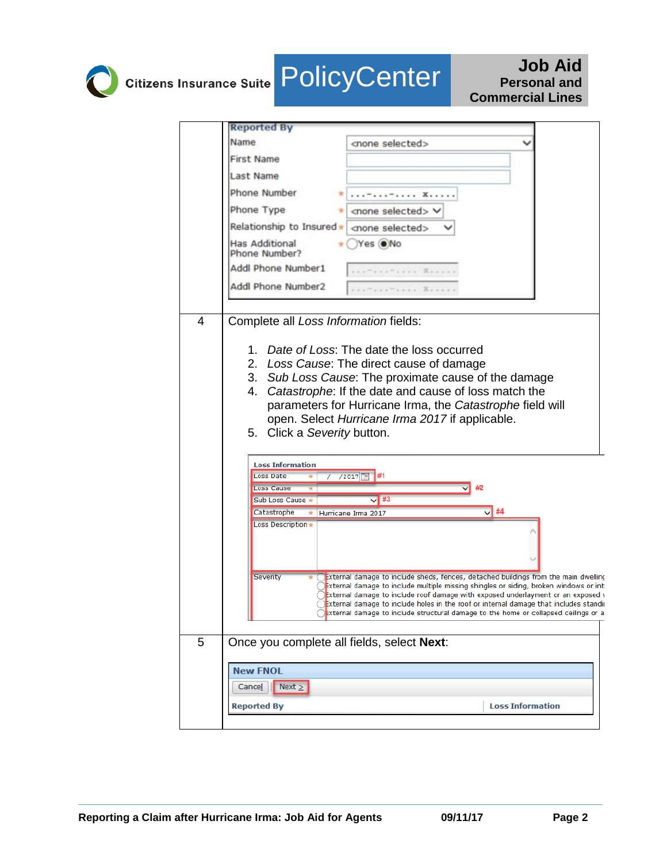## **Citizens Insurance Suite POlicyCenter** Job Aid **Personal and Commercial Lines**

|   | <b>Reported By</b>                                                                                                                                                                                                                                                                                                                                                                                                                                              |
|---|-----------------------------------------------------------------------------------------------------------------------------------------------------------------------------------------------------------------------------------------------------------------------------------------------------------------------------------------------------------------------------------------------------------------------------------------------------------------|
|   | Name<br><none selected=""></none>                                                                                                                                                                                                                                                                                                                                                                                                                               |
|   | <b>First Name</b>                                                                                                                                                                                                                                                                                                                                                                                                                                               |
|   | <b>Last Name</b>                                                                                                                                                                                                                                                                                                                                                                                                                                                |
|   | Phone Number                                                                                                                                                                                                                                                                                                                                                                                                                                                    |
|   | Phone Type<br><none selected=""></none>                                                                                                                                                                                                                                                                                                                                                                                                                         |
|   | Relationship to Insured*<br><none selected=""></none>                                                                                                                                                                                                                                                                                                                                                                                                           |
|   | <b>Has Additional</b><br>Yes ONo<br>Phone Number?                                                                                                                                                                                                                                                                                                                                                                                                               |
|   | Addl Phone Number1<br>.                                                                                                                                                                                                                                                                                                                                                                                                                                         |
|   | Addl Phone Number2<br>$-0.0000$ $K_{1.0000}$                                                                                                                                                                                                                                                                                                                                                                                                                    |
| 4 | Complete all Loss Information fields:<br>Date of Loss: The date the loss occurred<br>1.<br>2.<br>Loss Cause: The direct cause of damage<br>3. Sub Loss Cause: The proximate cause of the damage<br>4. Catastrophe: If the date and cause of loss match the<br>parameters for Hurricane Irma, the Catastrophe field will<br>open. Select Hurricane Irma 2017 if applicable.<br>Click a Severity button.<br>5.                                                    |
|   | <b>Loss Information</b><br><b>Loss Date</b><br>/2017                                                                                                                                                                                                                                                                                                                                                                                                            |
|   | <b>Loss Cause</b><br>#2                                                                                                                                                                                                                                                                                                                                                                                                                                         |
|   | #3<br>Sub Loss Cause *                                                                                                                                                                                                                                                                                                                                                                                                                                          |
|   | $\sqrt{14}$<br>Catastrophe<br>Hurricane Irma 2017<br>$\star$<br>Loss Description*                                                                                                                                                                                                                                                                                                                                                                               |
|   | Severity<br>External damage to include sheds, fences, detached buildings from the main dwelling<br>External damage to include multiple missing shingles or siding, broken windows or int(<br>External damage to include roof damage with exposed underlayment or an exposed v<br>External damage to include holes in the roof or internal damage that includes standir<br>External damage to include structural damage to the home or collapsed ceilings or all |
| 5 | Once you complete all fields, select Next:                                                                                                                                                                                                                                                                                                                                                                                                                      |
|   | <b>New FNOL</b><br>Cancel $\ $ Next $\ge$<br><b>Loss Information</b><br><b>Reported By</b>                                                                                                                                                                                                                                                                                                                                                                      |
|   |                                                                                                                                                                                                                                                                                                                                                                                                                                                                 |